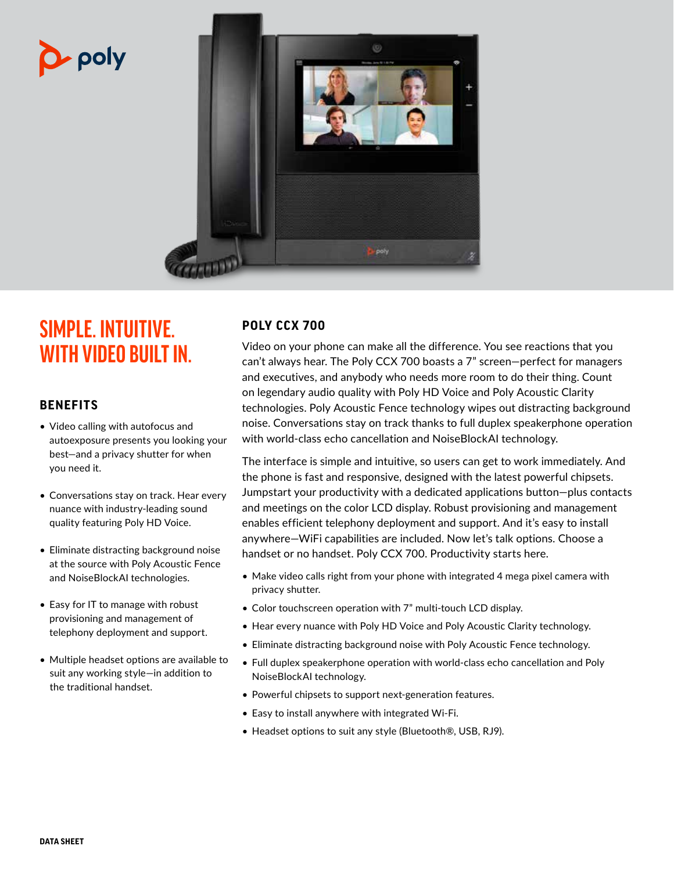# · poly



# **SIMPLE. INTUITIVE. WITH VIDEO BUILT IN.**

### **BENEFITS**

- Video calling with autofocus and autoexposure presents you looking your best—and a privacy shutter for when you need it.
- Conversations stay on track. Hear every nuance with industry-leading sound quality featuring Poly HD Voice.
- Eliminate distracting background noise at the source with Poly Acoustic Fence and NoiseBlockAI technologies.
- Easy for IT to manage with robust provisioning and management of telephony deployment and support.
- Multiple headset options are available to suit any working style—in addition to the traditional handset.

## **POLY CCX 700**

Video on your phone can make all the difference. You see reactions that you can't always hear. The Poly CCX 700 boasts a 7" screen—perfect for managers and executives, and anybody who needs more room to do their thing. Count on legendary audio quality with Poly HD Voice and Poly Acoustic Clarity technologies. Poly Acoustic Fence technology wipes out distracting background noise. Conversations stay on track thanks to full duplex speakerphone operation with world-class echo cancellation and NoiseBlockAI technology.

The interface is simple and intuitive, so users can get to work immediately. And the phone is fast and responsive, designed with the latest powerful chipsets. Jumpstart your productivity with a dedicated applications button—plus contacts and meetings on the color LCD display. Robust provisioning and management enables efficient telephony deployment and support. And it's easy to install anywhere—WiFi capabilities are included. Now let's talk options. Choose a handset or no handset. Poly CCX 700. Productivity starts here.

- Make video calls right from your phone with integrated 4 mega pixel camera with privacy shutter.
- Color touchscreen operation with 7" multi-touch LCD display.
- Hear every nuance with Poly HD Voice and Poly Acoustic Clarity technology.
- Eliminate distracting background noise with Poly Acoustic Fence technology.
- Full duplex speakerphone operation with world-class echo cancellation and Poly NoiseBlockAI technology.
- Powerful chipsets to support next-generation features.
- Easy to install anywhere with integrated Wi-Fi.
- Headset options to suit any style (Bluetooth®, USB, RJ9).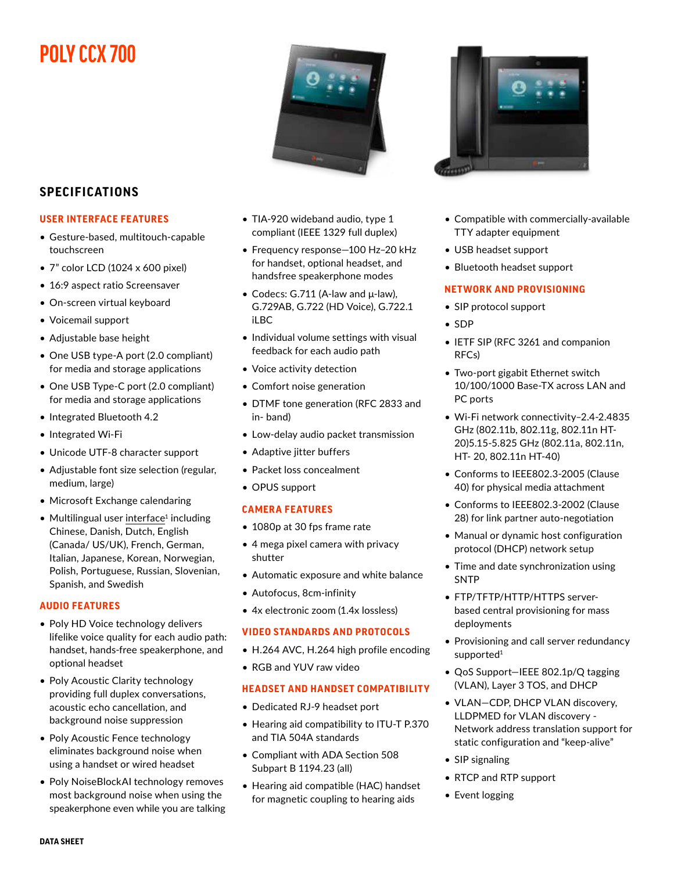# **POLY CCX 700**



### **SPECIFICATIONS**

#### **USER INTERFACE FEATURES**

- Gesture-based, multitouch-capable touchscreen
- 7" color LCD (1024 x 600 pixel)
- 16:9 aspect ratio Screensaver
- On-screen virtual keyboard
- Voicemail support
- Adjustable base height
- One USB type-A port (2.0 compliant) for media and storage applications
- One USB Type-C port (2.0 compliant) for media and storage applications
- Integrated Bluetooth 4.2
- Integrated Wi-Fi
- Unicode UTF-8 character support
- Adjustable font size selection (regular, medium, large)
- Microsoft Exchange calendaring
- $\bullet$  Multilingual user interface<sup>1</sup> including Chinese, Danish, Dutch, English (Canada/ US/UK), French, German, Italian, Japanese, Korean, Norwegian, Polish, Portuguese, Russian, Slovenian, Spanish, and Swedish

#### **AUDIO FEATURES**

- Poly HD Voice technology delivers lifelike voice quality for each audio path: handset, hands-free speakerphone, and optional headset
- Poly Acoustic Clarity technology providing full duplex conversations, acoustic echo cancellation, and background noise suppression
- Poly Acoustic Fence technology eliminates background noise when using a handset or wired headset
- Poly NoiseBlockAI technology removes most background noise when using the speakerphone even while you are talking
- TIA-920 wideband audio, type 1 compliant (IEEE 1329 full duplex)
- Frequency response—100 Hz–20 kHz for handset, optional headset, and handsfree speakerphone modes
- Codecs: G.711 (A-law and μ-law), G.729AB, G.722 (HD Voice), G.722.1 iLBC
- Individual volume settings with visual feedback for each audio path
- Voice activity detection
- Comfort noise generation
- DTMF tone generation (RFC 2833 and in- band)
- Low-delay audio packet transmission
- Adaptive jitter buffers
- Packet loss concealment
- OPUS support

#### **CAMERA FEATURES**

- 1080p at 30 fps frame rate
- 4 mega pixel camera with privacy shutter
- Automatic exposure and white balance
- Autofocus, 8cm-infinity
- 4x electronic zoom (1.4x lossless)

#### **VIDEO STANDARDS AND PROTOCOLS**

- H.264 AVC, H.264 high profile encoding
- RGB and YUV raw video

#### **HEADSET AND HANDSET COMPATIBILITY**

- Dedicated RJ-9 headset port
- Hearing aid compatibility to ITU-T P.370 and TIA 504A standards
- Compliant with ADA Section 508 Subpart B 1194.23 (all)
- Hearing aid compatible (HAC) handset for magnetic coupling to hearing aids



- Compatible with commercially-available TTY adapter equipment
- USB headset support
- Bluetooth headset support

#### **NETWORK AND PROVISIONING**

- SIP protocol support
- SDP
- IETF SIP (RFC 3261 and companion RFCs)
- Two-port gigabit Ethernet switch 10/100/1000 Base-TX across LAN and PC ports
- Wi-Fi network connectivity–2.4-2.4835 GHz (802.11b, 802.11g, 802.11n HT-20)5.15-5.825 GHz (802.11a, 802.11n, HT- 20, 802.11n HT-40)
- Conforms to IEEE802.3-2005 (Clause 40) for physical media attachment
- Conforms to IEEE802.3-2002 (Clause 28) for link partner auto-negotiation
- Manual or dynamic host configuration protocol (DHCP) network setup
- Time and date synchronization using SNTP
- FTP/TFTP/HTTP/HTTPS serverbased central provisioning for mass deployments
- Provisioning and call server redundancy supported<sup>1</sup>
- QoS Support—IEEE 802.1p/Q tagging (VLAN), Layer 3 TOS, and DHCP
- VLAN—CDP, DHCP VLAN discovery, LLDPMED for VLAN discovery - Network address translation support for static configuration and "keep-alive"
- SIP signaling
- RTCP and RTP support
- Event logging